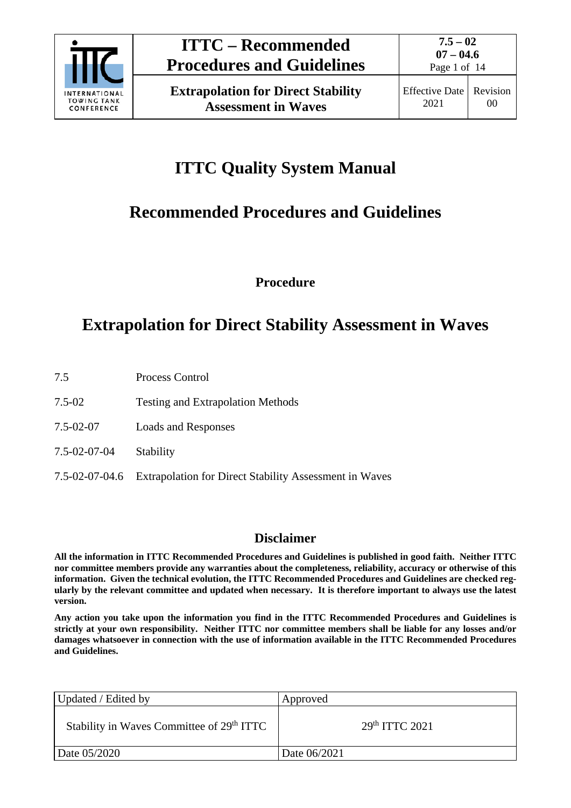

**Extrapolation for Direct Stability Assessment in Waves**

# **ITTC Quality System Manual**

# **Recommended Procedures and Guidelines**

**Procedure**

# **Extrapolation for Direct Stability Assessment in Waves**

- 7.5 Process Control
- 7.5-02 Testing and Extrapolation Methods
- 7.5-02-07 Loads and Responses
- 7.5-02-07-04 Stability
- 7.5-02-07-04.6 Extrapolation for Direct Stability Assessment in Waves

### **Disclaimer**

**All the information in ITTC Recommended Procedures and Guidelines is published in good faith. Neither ITTC nor committee members provide any warranties about the completeness, reliability, accuracy or otherwise of this information. Given the technical evolution, the ITTC Recommended Procedures and Guidelines are checked regularly by the relevant committee and updated when necessary. It is therefore important to always use the latest version.**

**Any action you take upon the information you find in the ITTC Recommended Procedures and Guidelines is strictly at your own responsibility. Neither ITTC nor committee members shall be liable for any losses and/or damages whatsoever in connection with the use of information available in the ITTC Recommended Procedures and Guidelines.**

| Updated / Edited by                                   | Approved                  |  |
|-------------------------------------------------------|---------------------------|--|
| Stability in Waves Committee of 29 <sup>th</sup> ITTC | 29 <sup>th</sup> TTC 2021 |  |
| Date 05/2020                                          | Date 06/2021              |  |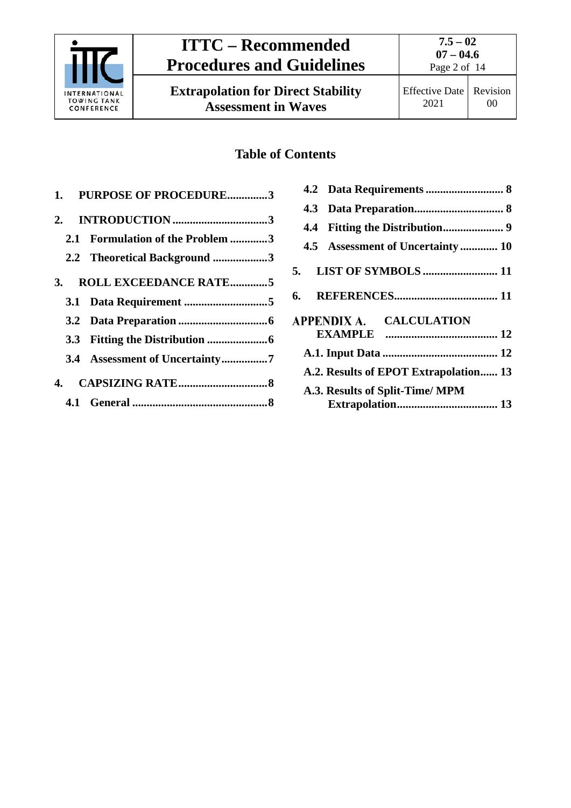

**Extrapolation for Direct Stability Assessment in Waves**

### **Table of Contents**

| 1. PURPOSE OF PROCEDURE3         |
|----------------------------------|
|                                  |
| 2.1 Formulation of the Problem 3 |
| 2.2 Theoretical Background 3     |
| 3. ROLL EXCEEDANCE RATE5         |
|                                  |
|                                  |
|                                  |
| 3.4 Assessment of Uncertainty7   |
|                                  |
|                                  |

| 4.5 Assessment of Uncertainty  10                         |  |
|-----------------------------------------------------------|--|
|                                                           |  |
|                                                           |  |
| APPENDIX A. CALCULATION                                   |  |
|                                                           |  |
| A.2. Results of EPOT Extrapolation 13                     |  |
| A.3. Results of Split-Time/MPM<br><b>Extrapolation 13</b> |  |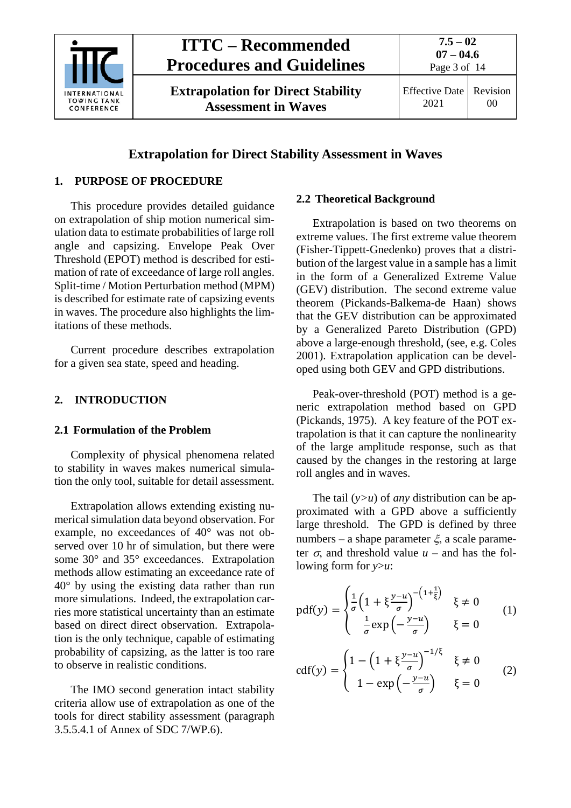

**Extrapolation for Direct Stability Assessment in Waves**

**07 – 04.6** Page 3 of 14

**7.5 – 02**

### **Extrapolation for Direct Stability Assessment in Waves**

### <span id="page-2-0"></span>**1. PURPOSE OF PROCEDURE**

This procedure provides detailed guidance on extrapolation of ship motion numerical simulation data to estimate probabilities of large roll angle and capsizing. Envelope Peak Over Threshold (EPOT) method is described for estimation of rate of exceedance of large roll angles. Split-time / Motion Perturbation method (MPM) is described for estimate rate of capsizing events in waves. The procedure also highlights the limitations of these methods.

<span id="page-2-1"></span>Current procedure describes extrapolation for a given sea state, speed and heading.

### <span id="page-2-2"></span>**2. INTRODUCTION**

### **2.1 Formulation of the Problem**

Complexity of physical phenomena related to stability in waves makes numerical simulation the only tool, suitable for detail assessment.

Extrapolation allows extending existing numerical simulation data beyond observation. For example, no exceedances of 40° was not observed over 10 hr of simulation, but there were some 30° and 35° exceedances. Extrapolation methods allow estimating an exceedance rate of 40° by using the existing data rather than run more simulations. Indeed, the extrapolation carries more statistical uncertainty than an estimate based on direct direct observation. Extrapolation is the only technique, capable of estimating probability of capsizing, as the latter is too rare to observe in realistic conditions.

The IMO second generation intact stability criteria allow use of extrapolation as one of the tools for direct stability assessment (paragraph 3.5.5.4.1 of Annex of SDC 7/WP.6).

### <span id="page-2-3"></span>**2.2 Theoretical Background**

Extrapolation is based on two theorems on extreme values. The first extreme value theorem (Fisher-Tippett-Gnedenko) proves that a distribution of the largest value in a sample has a limit in the form of a Generalized Extreme Value (GEV) distribution. The second extreme value theorem (Pickands-Balkema-de Haan) shows that the GEV distribution can be approximated by a Generalized Pareto Distribution (GPD) above a large-enough threshold, (see, e.g. Coles 2001). Extrapolation application can be developed using both GEV and GPD distributions.

Peak-over-threshold (POT) method is a generic extrapolation method based on GPD (Pickands, 1975). A key feature of the POT extrapolation is that it can capture the nonlinearity of the large amplitude response, such as that caused by the changes in the restoring at large roll angles and in waves.

The tail (*y>u*) of *any* distribution can be approximated with a GPD above a sufficiently large threshold. The GPD is defined by three numbers – a shape parameter  $\xi$ , a scale parameter  $\sigma$ , and threshold value  $u$  – and has the following form for *y*>*u*:

$$
pdf(y) = \begin{cases} \frac{1}{\sigma} \left( 1 + \xi \frac{y - u}{\sigma} \right)^{-(1 + \frac{1}{\xi})} & \xi \neq 0\\ \frac{1}{\sigma} exp\left( -\frac{y - u}{\sigma} \right) & \xi = 0 \end{cases}
$$
(1)

$$
cdf(y) = \begin{cases} 1 - \left(1 + \xi \frac{y - u}{\sigma}\right)^{-1/\xi} & \xi \neq 0 \\ 1 - \exp\left(-\frac{y - u}{\sigma}\right) & \xi = 0 \end{cases}
$$
 (2)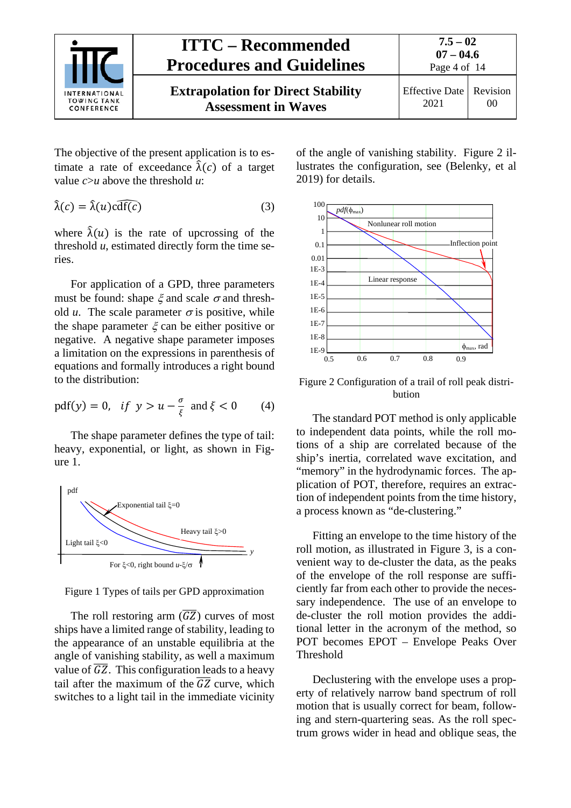

The objective of the present application is to estimate a rate of exceedance  $\hat{\lambda}(c)$  of a target value *c*>*u* above the threshold *u*:

$$
\hat{\lambda}(c) = \hat{\lambda}(u)c\widehat{\mathrm{df}(c)}\tag{3}
$$

where  $\hat{\lambda}(u)$  is the rate of upcrossing of the threshold *u*, estimated directly form the time series.

For application of a GPD, three parameters must be found: shape  $\xi$  and scale  $\sigma$  and threshold *u*. The scale parameter  $\sigma$  is positive, while the shape parameter  $\xi$  can be either positive or negative. A negative shape parameter imposes a limitation on the expressions in parenthesis of equations and formally introduces a right bound to the distribution:

pdf(y) = 0, if 
$$
y > u - \frac{\sigma}{\xi}
$$
 and  $\xi < 0$  (4)

The shape parameter defines the type of tail: heavy, exponential, or light, as shown in Figure 1.



Figure 1 Types of tails per GPD approximation

The roll restoring arm  $(\overline{GZ})$  curves of most ships have a limited range of stability, leading to the appearance of an unstable equilibria at the angle of vanishing stability, as well a maximum value of  $\overline{GZ}$ . This configuration leads to a heavy tail after the maximum of the  $\overline{GZ}$  curve, which switches to a light tail in the immediate vicinity

of the angle of vanishing stability. Figure 2 illustrates the configuration, see (Belenky, et al 2019) for details.



Figure 2 Configuration of a trail of roll peak distribution

The standard POT method is only applicable to independent data points, while the roll motions of a ship are correlated because of the ship's inertia, correlated wave excitation, and "memory" in the hydrodynamic forces. The application of POT, therefore, requires an extraction of independent points from the time history, a process known as "de-clustering."

Fitting an envelope to the time history of the roll motion, as illustrated in Figure 3, is a convenient way to de-cluster the data, as the peaks of the envelope of the roll response are sufficiently far from each other to provide the necessary independence. The use of an envelope to de-cluster the roll motion provides the additional letter in the acronym of the method, so POT becomes EPOT – Envelope Peaks Over Threshold

Declustering with the envelope uses a property of relatively narrow band spectrum of roll motion that is usually correct for beam, following and stern-quartering seas. As the roll spectrum grows wider in head and oblique seas, the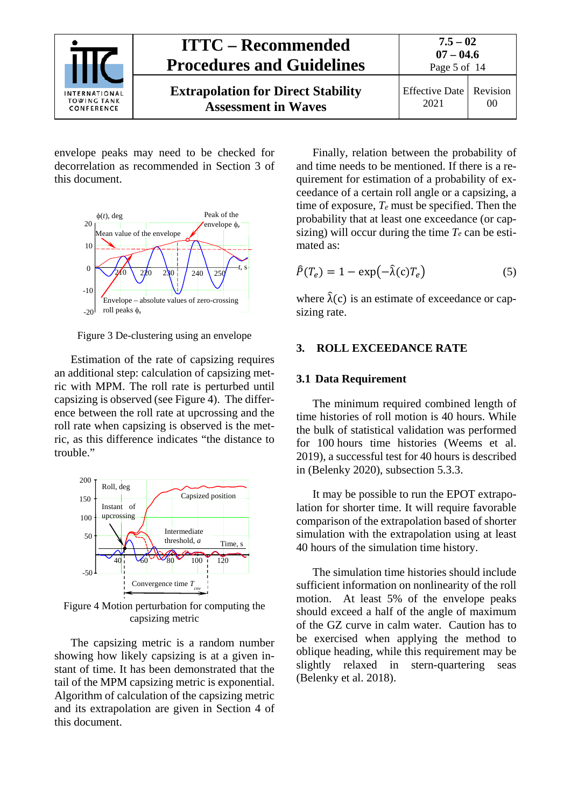

envelope peaks may need to be checked for decorrelation as recommended in Section 3 of this document.



Figure 3 De-clustering using an envelope

Estimation of the rate of capsizing requires an additional step: calculation of capsizing metric with MPM. The roll rate is perturbed until capsizing is observed (see Figure 4). The difference between the roll rate at upcrossing and the roll rate when capsizing is observed is the metric, as this difference indicates "the distance to trouble."



Figure 4 Motion perturbation for computing the capsizing metric

The capsizing metric is a random number showing how likely capsizing is at a given instant of time. It has been demonstrated that the tail of the MPM capsizing metric is exponential. Algorithm of calculation of the capsizing metric and its extrapolation are given in Section 4 of this document.

Finally, relation between the probability of and time needs to be mentioned. If there is a requirement for estimation of a probability of exceedance of a certain roll angle or a capsizing, a time of exposure, *Te* must be specified. Then the probability that at least one exceedance (or capsizing) will occur during the time  $T_e$  can be estimated as:

$$
\hat{P}(T_e) = 1 - \exp(-\hat{\lambda}(c)T_e)
$$
\n(5)

where  $\hat{\lambda}(c)$  is an estimate of exceedance or capsizing rate.

### <span id="page-4-1"></span><span id="page-4-0"></span>**3. ROLL EXCEEDANCE RATE**

### **3.1 Data Requirement**

The minimum required combined length of time histories of roll motion is 40 hours. While the bulk of statistical validation was performed for 100 hours time histories (Weems et al. 2019), a successful test for 40 hours is described in (Belenky 2020), subsection 5.3.3.

It may be possible to run the EPOT extrapolation for shorter time. It will require favorable comparison of the extrapolation based of shorter simulation with the extrapolation using at least 40 hours of the simulation time history.

The simulation time histories should include sufficient information on nonlinearity of the roll motion. At least 5% of the envelope peaks should exceed a half of the angle of maximum of the GZ curve in calm water. Caution has to be exercised when applying the method to oblique heading, while this requirement may be slightly relaxed in stern-quartering seas (Belenky et al. 2018).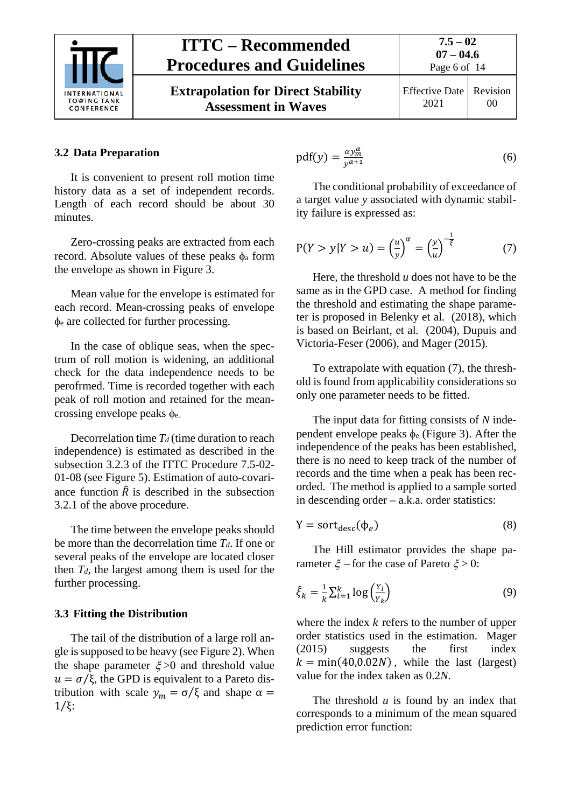

**Extrapolation for Direct Stability Assessment in Waves**

### **7.5 – 02 07 – 04.6** Page 6 of 14

Effective Date 2021

### Revision 00

### <span id="page-5-0"></span>**3.2 Data Preparation**

It is convenient to present roll motion time history data as a set of independent records. Length of each record should be about 30 minutes.

Zero-crossing peaks are extracted from each record. Absolute values of these peaks  $\phi$ <sub>a</sub> form the envelope as shown in Figure 3.

Mean value for the envelope is estimated for each record. Mean-crossing peaks of envelope φ<sup>e</sup> are collected for further processing.

In the case of oblique seas, when the spectrum of roll motion is widening, an additional check for the data independence needs to be perofrmed. Time is recorded together with each peak of roll motion and retained for the meancrossing envelope peaks φe.

Decorrelation time  $T_d$  (time duration to reach independence) is estimated as described in the subsection 3.2.3 of the ITTC Procedure 7.5-02- 01-08 (see Figure 5). Estimation of auto-covariance function  $\hat{R}$  is described in the subsection 3.2.1 of the above procedure.

The time between the envelope peaks should be more than the decorrelation time *Td*. If one or several peaks of the envelope are located closer then  $T_d$ , the largest among them is used for the further processing.

### <span id="page-5-1"></span>**3.3 Fitting the Distribution**

The tail of the distribution of a large roll angle is supposed to be heavy (see Figure 2). When the shape parameter  $\xi > 0$  and threshold value  $u = \sigma/\xi$ , the GPD is equivalent to a Pareto distribution with scale  $y_m = \sigma/\xi$  and shape  $\alpha =$ 1⁄ξ:

$$
pdf(y) = \frac{\alpha y_m^{\alpha}}{y^{\alpha+1}}
$$
 (6)

The conditional probability of exceedance of a target value *y* associated with dynamic stability failure is expressed as:

$$
P(Y > y | Y > u) = \left(\frac{u}{y}\right)^{\alpha} = \left(\frac{y}{u}\right)^{-\frac{1}{\xi}} \tag{7}
$$

Here, the threshold *u* does not have to be the same as in the GPD case. A method for finding the threshold and estimating the shape parameter is proposed in Belenky et al*.* (2018), which is based on Beirlant, et al*.* (2004), Dupuis and Victoria-Feser (2006), and Mager (2015).

To extrapolate with equation (7), the threshold is found from applicability considerations so only one parameter needs to be fitted.

The input data for fitting consists of *N* independent envelope peaks  $\phi_e$  (Figure 3). After the independence of the peaks has been established, there is no need to keep track of the number of records and the time when a peak has been recorded. The method is applied to a sample sorted in descending order – a.k.a. order statistics:

$$
Y = sort_{desc}(\phi_e)
$$
 (8)

The Hill estimator provides the shape parameter  $\xi$  – for the case of Pareto  $\xi$  > 0:

$$
\hat{\xi}_k = \frac{1}{k} \sum_{i=1}^k \log \left( \frac{Y_i}{Y_k} \right) \tag{9}
$$

where the index  $k$  refers to the number of upper order statistics used in the estimation. Mager (2015) suggests the first index  $k = min(40,0.02N)$ , while the last (largest) value for the index taken as 0.2*N*.

The threshold *u* is found by an index that corresponds to a minimum of the mean squared prediction error function: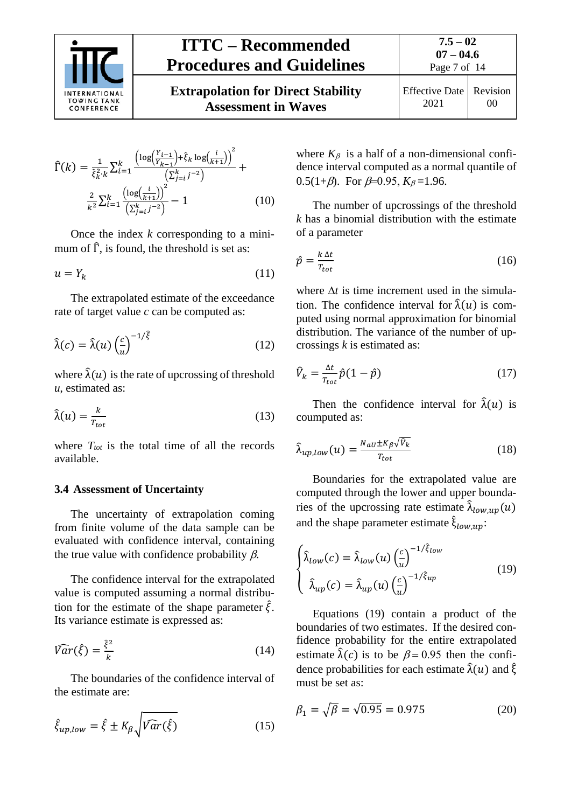

**Extrapolation for Direct Stability Assessment in Waves**

$$
\begin{array}{c|c}\n \text{Effective Date} & \text{Revision} \\
 \hline\n 2021 & 00\n \end{array}
$$

$$
\widehat{\Gamma}(k) = \frac{1}{\widehat{\xi}_k^2 \cdot k} \sum_{i=1}^k \frac{\left(\log\left(\frac{Y_{i-1}}{Y_{k-1}}\right) + \widehat{\xi}_k \log\left(\frac{i}{k+1}\right)\right)^2}{\left(\sum_{j=i}^k j^{-2}\right)} + \frac{2}{k^2} \sum_{i=1}^k \frac{\left(\log\left(\frac{i}{k+1}\right)\right)^2}{\left(\sum_{j=i}^k j^{-2}\right)} - 1 \tag{10}
$$

Once the index *k* corresponding to a minimum of  $\hat{\Gamma}$ , is found, the threshold is set as:

$$
u = Y_k \tag{11}
$$

The extrapolated estimate of the exceedance rate of target value *c* can be computed as:

$$
\hat{\lambda}(c) = \hat{\lambda}(u) \left(\frac{c}{u}\right)^{-1/\hat{\xi}}
$$
\n(12)

where  $\hat{\lambda}(u)$  is the rate of upcrossing of threshold *u*, estimated as:

$$
\hat{\lambda}(u) = \frac{k}{T_{tot}}\tag{13}
$$

where  $T_{tot}$  is the total time of all the records available.

#### <span id="page-6-0"></span>**3.4 Assessment of Uncertainty**

The uncertainty of extrapolation coming from finite volume of the data sample can be evaluated with confidence interval, containing the true value with confidence probability  $\beta$ .

The confidence interval for the extrapolated value is computed assuming a normal distribution for the estimate of the shape parameter  $\hat{\xi}$ . Its variance estimate is expressed as:

$$
\widehat{Var}(\widehat{\xi}) = \frac{\widehat{\xi}^2}{k} \tag{14}
$$

The boundaries of the confidence interval of the estimate are:

$$
\hat{\xi}_{up,low} = \hat{\xi} \pm K_{\beta} \sqrt{\widehat{Var}(\hat{\xi})}
$$
\n(15)

where  $K_\beta$  is a half of a non-dimensional confidence interval computed as a normal quantile of 0.5(1+ $\beta$ ). For  $\beta$ =0.95,  $K_{\beta}$ =1.96.

The number of upcrossings of the threshold *k* has a binomial distribution with the estimate of a parameter

$$
\hat{p} = \frac{k \Delta t}{T_{tot}} \tag{16}
$$

where ∆*t* is time increment used in the simulation. The confidence interval for  $\hat{\lambda}(u)$  is computed using normal approximation for binomial distribution. The variance of the number of upcrossings *k* is estimated as:

$$
\hat{V}_k = \frac{\Delta t}{T_{tot}} \hat{p}(1 - \hat{p}) \tag{17}
$$

Then the confidence interval for  $\hat{\lambda}(u)$  is coumputed as:

$$
\hat{\lambda}_{up,low}(u) = \frac{N_{av} \pm K_{\beta} \sqrt{\hat{v}_k}}{T_{tot}}
$$
\n(18)

Boundaries for the extrapolated value are computed through the lower and upper boundaries of the upcrossing rate estimate  $\hat{\lambda}_{low,up}(u)$ and the shape parameter estimate  $\xi_{low,up}$ :

$$
\begin{cases}\n\hat{\lambda}_{low}(c) = \hat{\lambda}_{low}(u) \left(\frac{c}{u}\right)^{-1/\hat{\xi}_{low}} \\
\hat{\lambda}_{up}(c) = \hat{\lambda}_{up}(u) \left(\frac{c}{u}\right)^{-1/\hat{\xi}_{up}}\n\end{cases}
$$
\n(19)

Equations (19) contain a product of the boundaries of two estimates. If the desired confidence probability for the entire extrapolated estimate  $\hat{\lambda}(c)$  is to be  $\beta = 0.95$  then the confidence probabilities for each estimate  $\lambda(u)$  and  $\xi$ must be set as:

$$
\beta_1 = \sqrt{\beta} = \sqrt{0.95} = 0.975\tag{20}
$$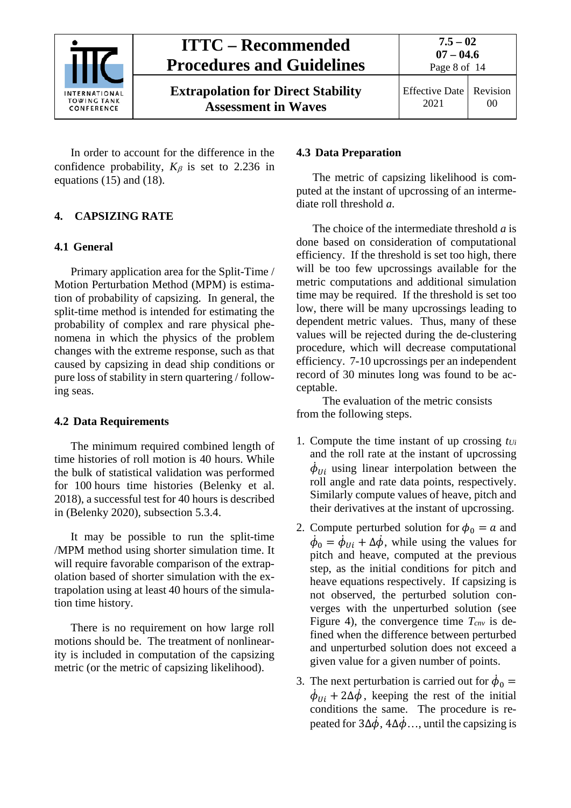

**Extrapolation for Direct Stability Assessment in Waves**

**7.5 – 02**

In order to account for the difference in the confidence probability,  $K_\beta$  is set to 2.236 in equations (15) and (18).

### <span id="page-7-1"></span><span id="page-7-0"></span>**4. CAPSIZING RATE**

### **4.1 General**

Primary application area for the Split-Time / Motion Perturbation Method (MPM) is estimation of probability of capsizing. In general, the split-time method is intended for estimating the probability of complex and rare physical phenomena in which the physics of the problem changes with the extreme response, such as that caused by capsizing in dead ship conditions or pure loss of stability in stern quartering / following seas.

### <span id="page-7-2"></span>**4.2 Data Requirements**

The minimum required combined length of time histories of roll motion is 40 hours. While the bulk of statistical validation was performed for 100 hours time histories (Belenky et al. 2018), a successful test for 40 hours is described in (Belenky 2020), subsection 5.3.4.

It may be possible to run the split-time /MPM method using shorter simulation time. It will require favorable comparison of the extrapolation based of shorter simulation with the extrapolation using at least 40 hours of the simulation time history.

There is no requirement on how large roll motions should be. The treatment of nonlinearity is included in computation of the capsizing metric (or the metric of capsizing likelihood).

### <span id="page-7-3"></span>**4.3 Data Preparation**

The metric of capsizing likelihood is computed at the instant of upcrossing of an intermediate roll threshold *a*.

The choice of the intermediate threshold *a* is done based on consideration of computational efficiency. If the threshold is set too high, there will be too few upcrossings available for the metric computations and additional simulation time may be required. If the threshold is set too low, there will be many upcrossings leading to dependent metric values. Thus, many of these values will be rejected during the de-clustering procedure, which will decrease computational efficiency. 7-10 upcrossings per an independent record of 30 minutes long was found to be acceptable.

The evaluation of the metric consists from the following steps.

- 1. Compute the time instant of up crossing *tUi* and the roll rate at the instant of upcrossing  $\phi_{Ui}$  using linear interpolation between the roll angle and rate data points, respectively. Similarly compute values of heave, pitch and their derivatives at the instant of upcrossing.
- 2. Compute perturbed solution for  $\phi_0 = a$  and  $\phi_0 = \phi_{U_i} + \Delta \phi$ , while using the values for pitch and heave, computed at the previous step, as the initial conditions for pitch and heave equations respectively. If capsizing is not observed, the perturbed solution converges with the unperturbed solution (see Figure 4), the convergence time  $T_{\text{cav}}$  is defined when the difference between perturbed and unperturbed solution does not exceed a given value for a given number of points.
- 3. The next perturbation is carried out for  $\dot{\phi}_0$  =  $\phi_{U_i}$  + 2 $\Delta \phi$ , keeping the rest of the initial conditions the same. The procedure is repeated for  $3\Delta\dot{\phi}$ ,  $4\Delta\dot{\phi}$ ..., until the capsizing is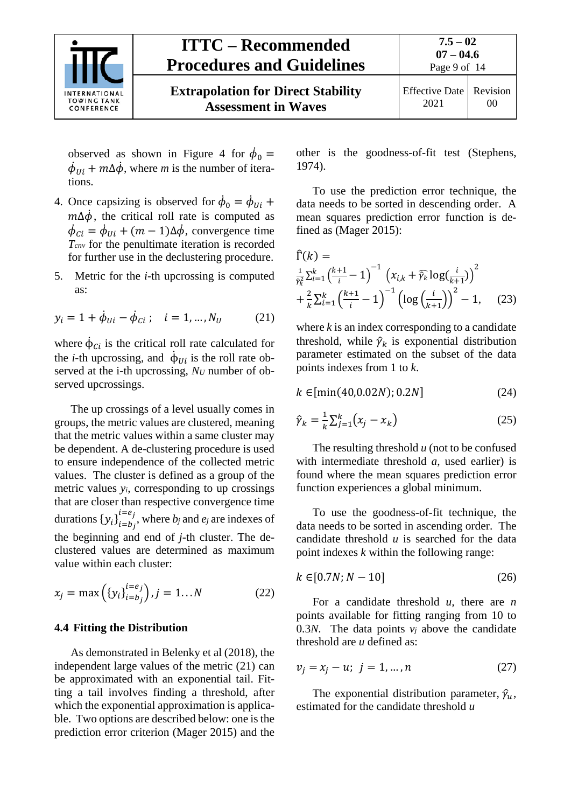

**Extrapolation for Direct Stability Assessment in Waves**

Page 9 of 14

observed as shown in Figure 4 for  $\phi_0 =$  $\phi_{Ui} + m \Delta \phi$ , where *m* is the number of iterations.

- 4. Once capsizing is observed for  $\phi_0 = \phi_{U_i} +$  $m\Delta\phi$ , the critical roll rate is computed as  $\phi_{Ci} = \phi_{Ui} + (m - 1)\Delta\phi$ , convergence time *Tcnv* for the penultimate iteration is recorded for further use in the declustering procedure.
- 5. Metric for the *i*-th upcrossing is computed as:

$$
y_i = 1 + \dot{\phi}_{Ui} - \dot{\phi}_{Ci} ; \quad i = 1, ..., N_U \tag{21}
$$

where  $\phi_{ci}$  is the critical roll rate calculated for the *i*-th upcrossing, and  $\phi_{Ui}$  is the roll rate observed at the i-th upcrossing, *NU* number of observed upcrossings.

The up crossings of a level usually comes in groups, the metric values are clustered, meaning that the metric values within a same cluster may be dependent. A de-clustering procedure is used to ensure independence of the collected metric values. The cluster is defined as a group of the metric values *yi*, corresponding to up crossings that are closer than respective convergence time durations  ${y_i}_{i=b_j}^{c-c_j}$  $e_i = e_j$ , where *b<sub>j</sub>* and *e<sub>j</sub>* are indexes of the beginning and end of *j*-th cluster. The declustered values are determined as maximum value within each cluster:

$$
x_j = \max\left(\{y_i\}_{i=b_j}^{i=e_j}\right), j = 1...N
$$
 (22)

#### <span id="page-8-0"></span>**4.4 Fitting the Distribution**

As demonstrated in Belenky et al (2018), the independent large values of the metric (21) can be approximated with an exponential tail. Fitting a tail involves finding a threshold, after which the exponential approximation is applicable. Two options are described below: one is the prediction error criterion (Mager 2015) and the other is the goodness-of-fit test (Stephens, 1974).

To use the prediction error technique, the data needs to be sorted in descending order. A mean squares prediction error function is defined as (Mager 2015):

$$
\begin{aligned} \hat{\Gamma}(k) &= \\ \frac{1}{\hat{\gamma}_k^2} \sum_{i=1}^k \left(\frac{k+1}{i} - 1\right)^{-1} \left(x_{i,k} + \hat{\gamma}_k \log\left(\frac{i}{k+1}\right)\right)^2 \\ &+ \frac{2}{k} \sum_{i=1}^k \left(\frac{k+1}{i} - 1\right)^{-1} \left(\log\left(\frac{i}{k+1}\right)\right)^2 - 1, \end{aligned} \tag{23}
$$

where *k* is an index corresponding to a candidate threshold, while  $\hat{\gamma}_k$  is exponential distribution parameter estimated on the subset of the data points indexes from 1 to *k*.

$$
k \in [ \min(40, 0.02N); 0.2N ] \tag{24}
$$

$$
\hat{\gamma}_k = \frac{1}{k} \sum_{j=1}^k (x_j - x_k) \tag{25}
$$

The resulting threshold *u* (not to be confused with intermediate threshold *a*, used earlier) is found where the mean squares prediction error function experiences a global minimum.

To use the goodness-of-fit technique, the data needs to be sorted in ascending order. The candidate threshold *u* is searched for the data point indexes *k* within the following range:

$$
k \in [0.7N; N - 10] \tag{26}
$$

For a candidate threshold *u,* there are *n* points available for fitting ranging from 10 to 0.3*N*. The data points  $v_i$  above the candidate threshold are *u* defined as:

$$
v_j = x_j - u; \ j = 1, ..., n \tag{27}
$$

The exponential distribution parameter,  $\hat{\gamma}_u$ , estimated for the candidate threshold *u*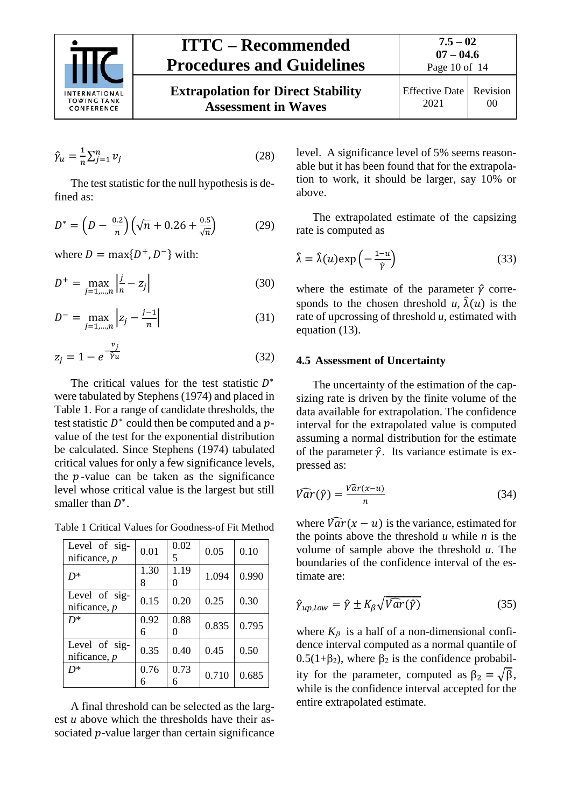

$$
\hat{\gamma}_u = \frac{1}{n} \sum_{j=1}^n \nu_j \tag{28}
$$

The test statistic for the null hypothesis is defined as:

$$
D^* = \left(D - \frac{0.2}{n}\right) \left(\sqrt{n} + 0.26 + \frac{0.5}{\sqrt{n}}\right) \tag{29}
$$

where  $D = \max\{D^+, D^-\}$  with:

$$
D^{+} = \max_{j=1,\dots,n} \left| \frac{j}{n} - z_{j} \right| \tag{30}
$$

$$
D^{-} = \max_{j=1,\dots,n} |z_j - \frac{j-1}{n}| \tag{31}
$$

$$
z_j = 1 - e^{-\frac{v_j}{\hat{v}_u}}
$$
\n(32)

The critical values for the test statistic  $D^*$ were tabulated by Stephens (1974) and placed in Table 1. For a range of candidate thresholds, the test statistic  $D^*$  could then be computed and a  $p$ value of the test for the exponential distribution be calculated. Since Stephens (1974) tabulated critical values for only a few significance levels, the  $p$ -value can be taken as the significance level whose critical value is the largest but still smaller than  $D^*$ .

Table 1 Critical Values for Goodness-of Fit Method

| Level of sig-<br>nificance, $p$ | 0.01      | 0.02<br>5 | 0.05  | 0.10  |
|---------------------------------|-----------|-----------|-------|-------|
| $D^*$                           | 1.30<br>8 | 1.19      | 1.094 | 0.990 |
| Level of sig-<br>nificance, $p$ | 0.15      | 0.20      | 0.25  | 0.30  |
| $D^*$                           | 0.92<br>6 | 0.88      | 0.835 | 0.795 |
| Level of sig-<br>nificance, $p$ | 0.35      | 0.40      | 0.45  | 0.50  |
| $D^*$                           | 0.76      | 0.73      | 0.710 | 0.685 |

A final threshold can be selected as the largest *u* above which the thresholds have their associated  $p$ -value larger than certain significance level. A significance level of 5% seems reasonable but it has been found that for the extrapolation to work, it should be larger, say 10% or above.

The extrapolated estimate of the capsizing rate is computed as

$$
\hat{\lambda} = \hat{\lambda}(u) \exp\left(-\frac{1-u}{\hat{v}}\right) \tag{33}
$$

where the estimate of the parameter  $\hat{\gamma}$  corresponds to the chosen threshold  $u$ ,  $\hat{\lambda}(u)$  is the rate of upcrossing of threshold *u*, estimated with equation (13).

#### <span id="page-9-0"></span>**4.5 Assessment of Uncertainty**

The uncertainty of the estimation of the capsizing rate is driven by the finite volume of the data available for extrapolation. The confidence interval for the extrapolated value is computed assuming a normal distribution for the estimate of the parameter  $\hat{v}$ . Its variance estimate is expressed as:

$$
\widehat{Var}(\widehat{y}) = \frac{\widehat{Var}(x-u)}{n} \tag{34}
$$

where  $\widehat{Var}(x - u)$  is the variance, estimated for the points above the threshold  $u$  while  $n$  is the volume of sample above the threshold *u*. The boundaries of the confidence interval of the estimate are:

$$
\hat{\gamma}_{up,low} = \hat{\gamma} \pm K_{\beta} \sqrt{\hat{Var}(\hat{\gamma})} \tag{35}
$$

where  $K_\beta$  is a half of a non-dimensional confidence interval computed as a normal quantile of  $0.5(1+\beta_2)$ , where  $\beta_2$  is the confidence probability for the parameter, computed as  $\beta_2 = \sqrt{\beta}$ , while is the confidence interval accepted for the entire extrapolated estimate.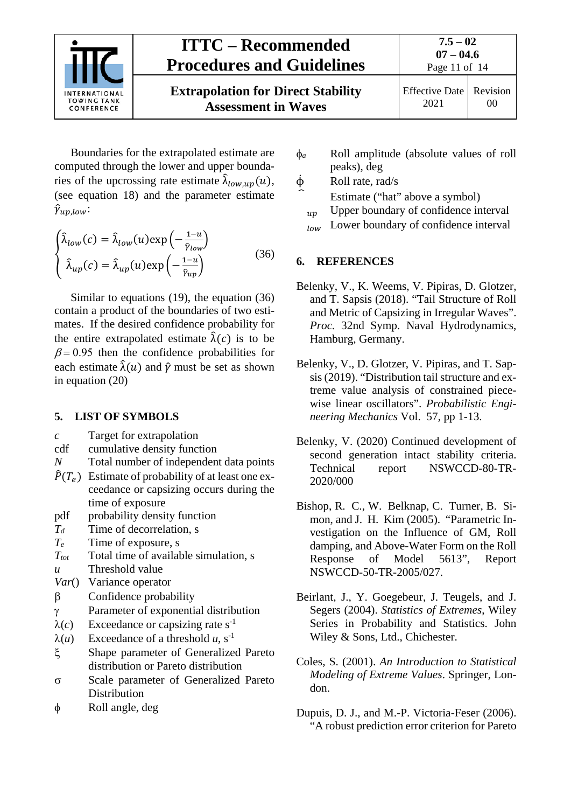

Boundaries for the extrapolated estimate are computed through the lower and upper boundaries of the upcrossing rate estimate  $\hat{\lambda}_{low,up}(u)$ , (see equation 18) and the parameter estimate  $\hat{\gamma}_{up,low}$ :

$$
\begin{cases}\n\hat{\lambda}_{low}(c) = \hat{\lambda}_{low}(u) \exp\left(-\frac{1-u}{\hat{\gamma}_{low}}\right) \\
\hat{\lambda}_{up}(c) = \hat{\lambda}_{up}(u) \exp\left(-\frac{1-u}{\hat{\gamma}_{up}}\right)\n\end{cases}
$$
\n(36)

Similar to equations (19), the equation (36) contain a product of the boundaries of two estimates. If the desired confidence probability for the entire extrapolated estimate  $\hat{\lambda}(c)$  is to be  $\beta$  = 0.95 then the confidence probabilities for each estimate  $\hat{\lambda}(u)$  and  $\hat{v}$  must be set as shown in equation (20)

### <span id="page-10-0"></span>**5. LIST OF SYMBOLS**

- *c* Target for extrapolation
- cdf cumulative density function
- *N* Total number of independent data points
- $\hat{P}(T_e)$  Estimate of probability of at least one exceedance or capsizing occurs during the time of exposure
- pdf probability density function
- *Td* Time of decorrelation, s
- *Te* Time of exposure, s
- *Ttot* Total time of available simulation, s
- *u* Threshold value
- *Var*() Variance operator
- β Confidence probability
- γ Parameter of exponential distribution
- $\lambda(c)$  Exceedance or capsizing rate s<sup>-1</sup>
- $λ(u)$  Exceedance of a threshold *u*, s<sup>-1</sup>
- ξ Shape parameter of Generalized Pareto distribution or Pareto distribution
- σ Scale parameter of Generalized Pareto Distribution
- φ Roll angle, deg
- φ*<sup>a</sup>* Roll amplitude (absolute values of roll peaks), deg
- $\dot{\phi}$  Roll rate, rad/s
	- Estimate ("hat" above a symbol)
	- $_{\text{un}}$  Upper boundary of confidence interval
	- **Lower boundary of confidence interval**

### <span id="page-10-1"></span>**6. REFERENCES**

- Belenky, V., K. Weems, V. Pipiras, D. Glotzer, and T. Sapsis (2018). "Tail Structure of Roll and Metric of Capsizing in Irregular Waves". *Proc.* 32nd Symp. Naval Hydrodynamics, Hamburg, Germany.
- Belenky, V., D. Glotzer, V. Pipiras, and T. Sapsis (2019). "Distribution tail structure and extreme value analysis of constrained piecewise linear oscillators". *Probabilistic Engineering Mechanics* Vol. 57, pp 1-13.
- Belenky, V. (2020) Continued development of second generation intact stability criteria. Technical report NSWCCD-80-TR-2020/000
- Bishop, R. C., W. Belknap, C. Turner, B. Simon, and J. H. Kim (2005). "Parametric Investigation on the Influence of GM, Roll damping, and Above-Water Form on the Roll Response of Model 5613", Report NSWCCD-50-TR-2005/027.
- Beirlant, J., Y. Goegebeur, J. Teugels, and J. Segers (2004). *Statistics of Extremes*, Wiley Series in Probability and Statistics. John Wiley & Sons, Ltd., Chichester.
- Coles, S. (2001). *An Introduction to Statistical Modeling of Extreme Values*. Springer, London.
- Dupuis, D. J., and M.-P. Victoria-Feser (2006). "A robust prediction error criterion for Pareto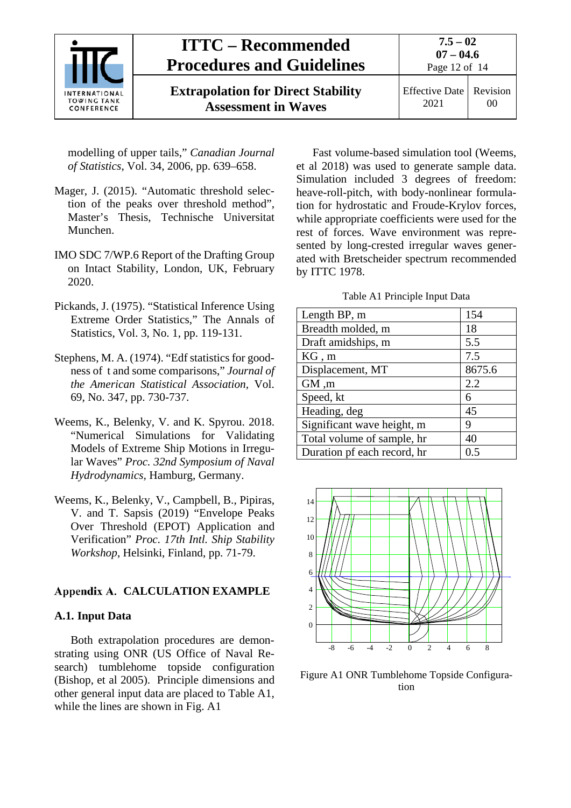

**Extrapolation for Direct Stability Assessment in Waves**

Effective Date 2021 Revision 00

modelling of upper tails," *Canadian Journal of Statistics*, Vol. 34, 2006, pp. 639–658.

- Mager, J. (2015). "Automatic threshold selection of the peaks over threshold method", Master's Thesis, Technische Universitat Munchen.
- IMO SDC 7/WP.6 Report of the Drafting Group on Intact Stability, London, UK, February 2020.
- Pickands, J. (1975). "Statistical Inference Using Extreme Order Statistics," The Annals of Statistics, Vol. 3, No. 1, pp. 119-131.
- Stephens, M. A. (1974). "Edf statistics for goodness of t and some comparisons," *Journal of the American Statistical Association,* Vol. 69, No. 347, pp. 730-737.
- Weems, K., Belenky, V. and K. Spyrou. 2018. "Numerical Simulations for Validating Models of Extreme Ship Motions in Irregular Waves" *Proc. 32nd Symposium of Naval Hydrodynamics,* Hamburg, Germany.
- Weems, K., Belenky, V., Campbell, B., Pipiras, V. and T. Sapsis (2019) "Envelope Peaks Over Threshold (EPOT) Application and Verification" *Proc. 17th Intl. Ship Stability Workshop*, Helsinki, Finland, pp. 71-79.

### <span id="page-11-1"></span><span id="page-11-0"></span>**Appendix A. CALCULATION EXAMPLE**

### **A.1. Input Data**

Both extrapolation procedures are demonstrating using ONR (US Office of Naval Research) tumblehome topside configuration (Bishop, et al 2005). Principle dimensions and other general input data are placed to Table A1, while the lines are shown in Fig. A1

Fast volume-based simulation tool (Weems, et al 2018) was used to generate sample data. Simulation included 3 degrees of freedom: heave-roll-pitch, with body-nonlinear formulation for hydrostatic and Froude-Krylov forces, while appropriate coefficients were used for the rest of forces. Wave environment was represented by long-crested irregular waves generated with Bretscheider spectrum recommended by ITTC 1978.

#### Table A1 Principle Input Data

| Length BP, m                | 154    |
|-----------------------------|--------|
| Breadth molded, m           | 18     |
| Draft amidships, m          | 5.5    |
| KG, m                       | 7.5    |
| Displacement, MT            | 8675.6 |
| GM, m                       | 2.2    |
| Speed, kt                   | 6      |
| Heading, deg                | 45     |
| Significant wave height, m  | 9      |
| Total volume of sample, hr  | 40     |
| Duration pf each record, hr | 0.5    |



Figure A1 ONR Tumblehome Topside Configuration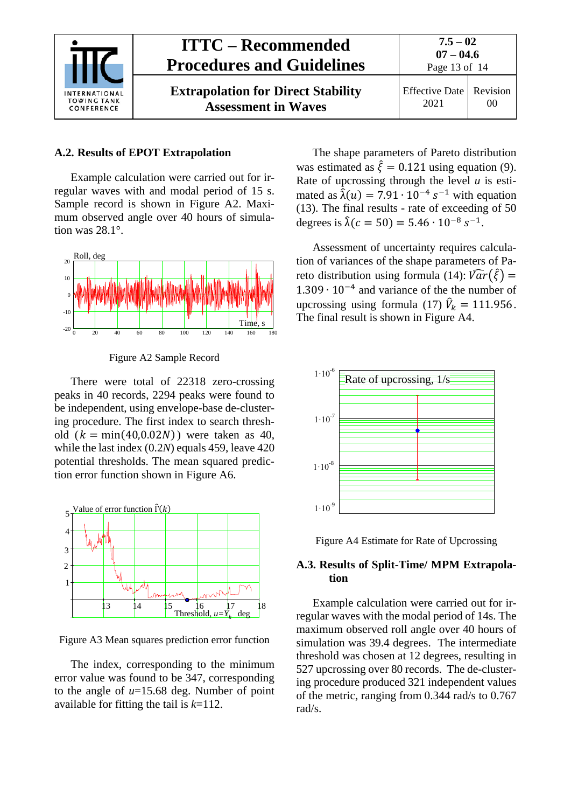

**Extrapolation for Direct Stability Assessment in Waves**



Effective Date 2021 Revision 00

### <span id="page-12-0"></span>**A.2. Results of EPOT Extrapolation**

Example calculation were carried out for irregular waves with and modal period of 15 s. Sample record is shown in Figure A2. Maximum observed angle over 40 hours of simulation was 28.1°.



Figure A2 Sample Record

There were total of 22318 zero-crossing peaks in 40 records, 2294 peaks were found to be independent, using envelope-base de-clustering procedure. The first index to search threshold  $(k = min(40, 0.02N))$  were taken as 40, while the last index (0.2*N*) equals 459, leave 420 potential thresholds. The mean squared prediction error function shown in Figure A6.



Figure A3 Mean squares prediction error function

The index, corresponding to the minimum error value was found to be 347, corresponding to the angle of *u*=15.68 deg. Number of point available for fitting the tail is *k*=112.

The shape parameters of Pareto distribution was estimated as  $\hat{\xi} = 0.121$  using equation (9). Rate of upcrossing through the level *u* is estimated as  $\hat{\lambda}(u) = 7.91 \cdot 10^{-4} s^{-1}$  with equation (13). The final results - rate of exceeding of 50 degrees is  $\hat{\lambda}(c = 50) = 5.46 \cdot 10^{-8} s^{-1}$ .

Assessment of uncertainty requires calculation of variances of the shape parameters of Pareto distribution using formula (14):  $\widehat{Var}(\widehat{\xi}) =$ 1.309 ∙ 10−4 and variance of the the number of upcrossing using formula (17)  $\hat{V}_k = 111.956$ . The final result is shown in Figure A4.





### <span id="page-12-1"></span>**A.3. Results of Split-Time/ MPM Extrapolation**

Example calculation were carried out for irregular waves with the modal period of 14s. The maximum observed roll angle over 40 hours of simulation was 39.4 degrees. The intermediate threshold was chosen at 12 degrees, resulting in 527 upcrossing over 80 records. The de-clustering procedure produced 321 independent values of the metric, ranging from 0.344 rad/s to 0.767 rad/s.